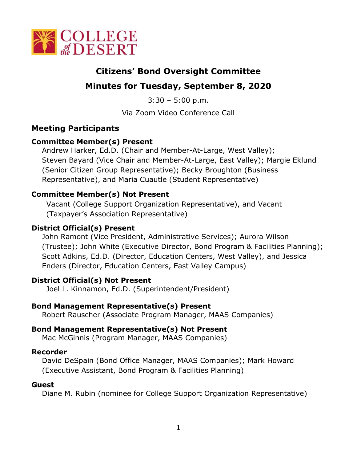

# **Citizens' Bond Oversight Committee**

# **Minutes for Tuesday, September 8, 2020**

 $3:30 - 5:00$  p.m.

Via Zoom Video Conference Call

### **Meeting Participants**

#### **Committee Member(s) Present**

Andrew Harker, Ed.D. (Chair and Member-At-Large, West Valley); Steven Bayard (Vice Chair and Member-At-Large, East Valley); Margie Eklund (Senior Citizen Group Representative); Becky Broughton (Business Representative), and Maria Cuautle (Student Representative)

### **Committee Member(s) Not Present**

Vacant (College Support Organization Representative), and Vacant (Taxpayer's Association Representative)

### **District Official(s) Present**

John Ramont (Vice President, Administrative Services); Aurora Wilson (Trustee); John White (Executive Director, Bond Program & Facilities Planning); Scott Adkins, Ed.D. (Director, Education Centers, West Valley), and Jessica Enders (Director, Education Centers, East Valley Campus)

#### **District Official(s) Not Present**

Joel L. Kinnamon, Ed.D. (Superintendent/President)

#### **Bond Management Representative(s) Present**

Robert Rauscher (Associate Program Manager, MAAS Companies)

#### **Bond Management Representative(s) Not Present**

Mac McGinnis (Program Manager, MAAS Companies)

#### **Recorder**

David DeSpain (Bond Office Manager, MAAS Companies); Mark Howard (Executive Assistant, Bond Program & Facilities Planning)

#### **Guest**

Diane M. Rubin (nominee for College Support Organization Representative)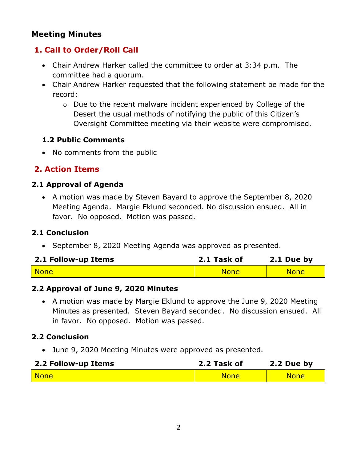### **Meeting Minutes**

# **1. Call to Order/Roll Call**

- Chair Andrew Harker called the committee to order at 3:34 p.m. The committee had a quorum.
- Chair Andrew Harker requested that the following statement be made for the record:
	- o Due to the recent malware incident experienced by College of the Desert the usual methods of notifying the public of this Citizen's Oversight Committee meeting via their website were compromised.

#### **1.2 Public Comments**

• No comments from the public

### **2. Action Items**

#### **2.1 Approval of Agenda**

• A motion was made by Steven Bayard to approve the September 8, 2020 Meeting Agenda. Margie Eklund seconded. No discussion ensued. All in favor. No opposed. Motion was passed.

#### **2.1 Conclusion**

• September 8, 2020 Meeting Agenda was approved as presented.

| 2.1 Follow-up Items | 2.1 Task of | $2.1$ Due by |
|---------------------|-------------|--------------|
| <b>None</b>         | <b>None</b> | <b>None</b>  |

#### **2.2 Approval of June 9, 2020 Minutes**

• A motion was made by Margie Eklund to approve the June 9, 2020 Meeting Minutes as presented. Steven Bayard seconded. No discussion ensued. All in favor. No opposed. Motion was passed.

### **2.2 Conclusion**

• June 9, 2020 Meeting Minutes were approved as presented.

| 2.2 Follow-up Items | 2.2 Task of | 2.2 Due by  |
|---------------------|-------------|-------------|
| None                | <b>None</b> | <b>None</b> |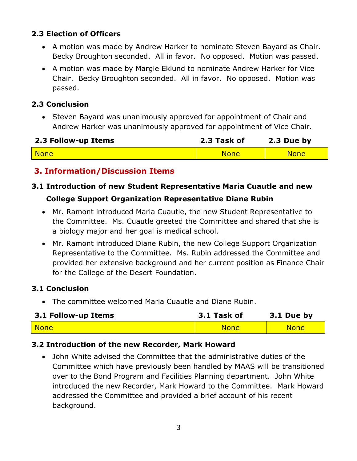### **2.3 Election of Officers**

- A motion was made by Andrew Harker to nominate Steven Bayard as Chair. Becky Broughton seconded. All in favor. No opposed. Motion was passed.
- A motion was made by Margie Eklund to nominate Andrew Harker for Vice Chair. Becky Broughton seconded. All in favor. No opposed. Motion was passed.

#### **2.3 Conclusion**

• Steven Bayard was unanimously approved for appointment of Chair and Andrew Harker was unanimously approved for appointment of Vice Chair.

| 2.3 Follow-up Items | 2.3 Task of | 2.3 Due by  |
|---------------------|-------------|-------------|
| <b>None</b>         | <b>None</b> | <b>None</b> |

# **3. Information/Discussion Items**

#### **3.1 Introduction of new Student Representative Maria Cuautle and new**

#### **College Support Organization Representative Diane Rubin**

- Mr. Ramont introduced Maria Cuautle, the new Student Representative to the Committee. Ms. Cuautle greeted the Committee and shared that she is a biology major and her goal is medical school.
- Mr. Ramont introduced Diane Rubin, the new College Support Organization Representative to the Committee. Ms. Rubin addressed the Committee and provided her extensive background and her current position as Finance Chair for the College of the Desert Foundation.

#### **3.1 Conclusion**

• The committee welcomed Maria Cuautle and Diane Rubin.

| 3.1 Follow-up Items | 3.1 Task of | 3.1 Due by  |
|---------------------|-------------|-------------|
| <mark>  None</mark> | <b>None</b> | <b>None</b> |

#### **3.2 Introduction of the new Recorder, Mark Howard**

• John White advised the Committee that the administrative duties of the Committee which have previously been handled by MAAS will be transitioned over to the Bond Program and Facilities Planning department. John White introduced the new Recorder, Mark Howard to the Committee. Mark Howard addressed the Committee and provided a brief account of his recent background.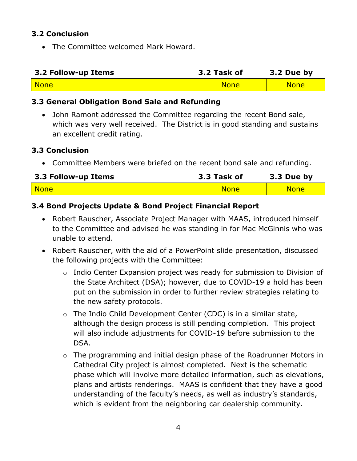#### **3.2 Conclusion**

• The Committee welcomed Mark Howard.

| 3.2 Follow-up Items | 3.2 Task of | 3.2 Due by  |
|---------------------|-------------|-------------|
| None                | <b>None</b> | <b>None</b> |

### **3.3 General Obligation Bond Sale and Refunding**

• John Ramont addressed the Committee regarding the recent Bond sale, which was very well received. The District is in good standing and sustains an excellent credit rating.

#### **3.3 Conclusion**

• Committee Members were briefed on the recent bond sale and refunding.

| 3.3 Follow-up Items | 3.3 Task of | 3.3 Due by  |
|---------------------|-------------|-------------|
| None                | <b>None</b> | <b>None</b> |

### **3.4 Bond Projects Update & Bond Project Financial Report**

- Robert Rauscher, Associate Project Manager with MAAS, introduced himself to the Committee and advised he was standing in for Mac McGinnis who was unable to attend.
- Robert Rauscher, with the aid of a PowerPoint slide presentation, discussed the following projects with the Committee:
	- o Indio Center Expansion project was ready for submission to Division of the State Architect (DSA); however, due to COVID-19 a hold has been put on the submission in order to further review strategies relating to the new safety protocols.
	- o The Indio Child Development Center (CDC) is in a similar state, although the design process is still pending completion. This project will also include adjustments for COVID-19 before submission to the DSA.
	- o The programming and initial design phase of the Roadrunner Motors in Cathedral City project is almost completed. Next is the schematic phase which will involve more detailed information, such as elevations, plans and artists renderings. MAAS is confident that they have a good understanding of the faculty's needs, as well as industry's standards, which is evident from the neighboring car dealership community.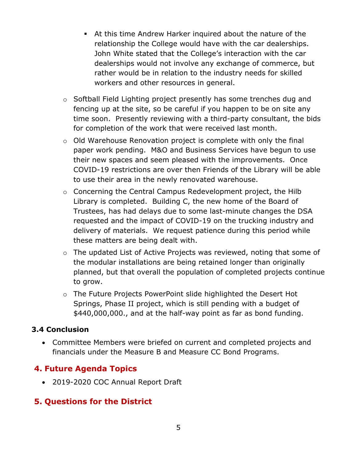- **EXECT** At this time Andrew Harker inquired about the nature of the relationship the College would have with the car dealerships. John White stated that the College's interaction with the car dealerships would not involve any exchange of commerce, but rather would be in relation to the industry needs for skilled workers and other resources in general.
- o Softball Field Lighting project presently has some trenches dug and fencing up at the site, so be careful if you happen to be on site any time soon. Presently reviewing with a third-party consultant, the bids for completion of the work that were received last month.
- o Old Warehouse Renovation project is complete with only the final paper work pending. M&O and Business Services have begun to use their new spaces and seem pleased with the improvements. Once COVID-19 restrictions are over then Friends of the Library will be able to use their area in the newly renovated warehouse.
- o Concerning the Central Campus Redevelopment project, the Hilb Library is completed. Building C, the new home of the Board of Trustees, has had delays due to some last-minute changes the DSA requested and the impact of COVID-19 on the trucking industry and delivery of materials. We request patience during this period while these matters are being dealt with.
- o The updated List of Active Projects was reviewed, noting that some of the modular installations are being retained longer than originally planned, but that overall the population of completed projects continue to grow.
- o The Future Projects PowerPoint slide highlighted the Desert Hot Springs, Phase II project, which is still pending with a budget of \$440,000,000., and at the half-way point as far as bond funding.

#### **3.4 Conclusion**

• Committee Members were briefed on current and completed projects and financials under the Measure B and Measure CC Bond Programs.

# **4. Future Agenda Topics**

• 2019-2020 COC Annual Report Draft

# **5. Questions for the District**